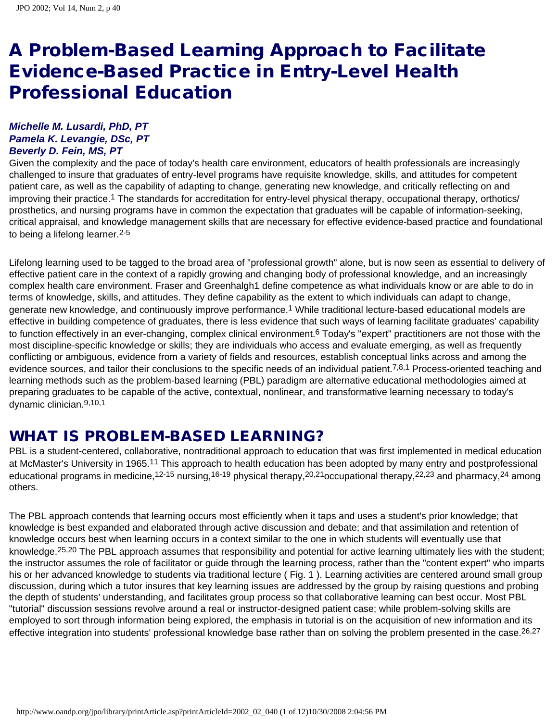# A Problem-Based Learning Approach to Facilitate Evidence-Based Practice in Entry-Level Health Professional Education

#### *Michelle M. Lusardi, PhD, PT Pamela K. Levangie, DSc, PT Beverly D. Fein, MS, PT*

Given the complexity and the pace of today's health care environment, educators of health professionals are increasingly challenged to insure that graduates of entry-level programs have requisite knowledge, skills, and attitudes for competent patient care, as well as the capability of adapting to change, generating new knowledge, and critically reflecting on and improving their practice.1 The standards for accreditation for entry-level physical therapy, occupational therapy, orthotics/ prosthetics, and nursing programs have in common the expectation that graduates will be capable of information-seeking, critical appraisal, and knowledge management skills that are necessary for effective evidence-based practice and foundational to being a lifelong learner.2-5

Lifelong learning used to be tagged to the broad area of "professional growth" alone, but is now seen as essential to delivery of effective patient care in the context of a rapidly growing and changing body of professional knowledge, and an increasingly complex health care environment. Fraser and Greenhalgh1 define competence as what individuals know or are able to do in terms of knowledge, skills, and attitudes. They define capability as the extent to which individuals can adapt to change, generate new knowledge, and continuously improve performance.1 While traditional lecture-based educational models are effective in building competence of graduates, there is less evidence that such ways of learning facilitate graduates' capability to function effectively in an ever-changing, complex clinical environment.<sup>6</sup> Today's "expert" practitioners are not those with the most discipline-specific knowledge or skills; they are individuals who access and evaluate emerging, as well as frequently conflicting or ambiguous, evidence from a variety of fields and resources, establish conceptual links across and among the evidence sources, and tailor their conclusions to the specific needs of an individual patient.<sup>7,8,1</sup> Process-oriented teaching and learning methods such as the problem-based learning (PBL) paradigm are alternative educational methodologies aimed at preparing graduates to be capable of the active, contextual, nonlinear, and transformative learning necessary to today's dynamic clinician.9,10,1

## WHAT IS PROBLEM-BASED LEARNING?

PBL is a student-centered, collaborative, nontraditional approach to education that was first implemented in medical education at McMaster's University in 1965.<sup>11</sup> This approach to health education has been adopted by many entry and postprofessional educational programs in medicine,<sup>12-15</sup> nursing,<sup>16-19</sup> physical therapy,<sup>20,21</sup>occupational therapy,<sup>22,23</sup> and pharmacy,<sup>24</sup> among others.

The PBL approach contends that learning occurs most efficiently when it taps and uses a student's prior knowledge; that knowledge is best expanded and elaborated through active discussion and debate; and that assimilation and retention of knowledge occurs best when learning occurs in a context similar to the one in which students will eventually use that knowledge.<sup>25,20</sup> The PBL approach assumes that responsibility and potential for active learning ultimately lies with the student; the instructor assumes the role of facilitator or guide through the learning process, rather than the "content expert" who imparts his or her advanced knowledge to students via traditional lecture ( Fig. 1 ). Learning activities are centered around small group discussion, during which a tutor insures that key learning issues are addressed by the group by raising questions and probing the depth of students' understanding, and facilitates group process so that collaborative learning can best occur. Most PBL "tutorial" discussion sessions revolve around a real or instructor-designed patient case; while problem-solving skills are employed to sort through information being explored, the emphasis in tutorial is on the acquisition of new information and its effective integration into students' professional knowledge base rather than on solving the problem presented in the case.<sup>26,27</sup>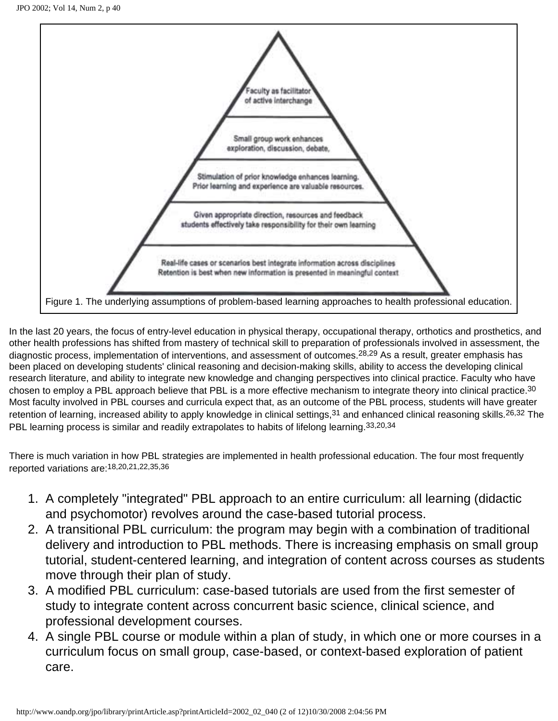

In the last 20 years, the focus of entry-level education in physical therapy, occupational therapy, orthotics and prosthetics, and other health professions has shifted from mastery of technical skill to preparation of professionals involved in assessment, the diagnostic process, implementation of interventions, and assessment of outcomes.<sup>28,29</sup> As a result, greater emphasis has been placed on developing students' clinical reasoning and decision-making skills, ability to access the developing clinical research literature, and ability to integrate new knowledge and changing perspectives into clinical practice. Faculty who have chosen to employ a PBL approach believe that PBL is a more effective mechanism to integrate theory into clinical practice.<sup>30</sup> Most faculty involved in PBL courses and curricula expect that, as an outcome of the PBL process, students will have greater retention of learning, increased ability to apply knowledge in clinical settings,<sup>31</sup> and enhanced clinical reasoning skills.<sup>26,32</sup> The PBL learning process is similar and readily extrapolates to habits of lifelong learning. 33, 20, 34

There is much variation in how PBL strategies are implemented in health professional education. The four most frequently reported variations are:18,20,21,22,35,36

- 1. A completely "integrated" PBL approach to an entire curriculum: all learning (didactic and psychomotor) revolves around the case-based tutorial process.
- 2. A transitional PBL curriculum: the program may begin with a combination of traditional delivery and introduction to PBL methods. There is increasing emphasis on small group tutorial, student-centered learning, and integration of content across courses as students move through their plan of study.
- 3. A modified PBL curriculum: case-based tutorials are used from the first semester of study to integrate content across concurrent basic science, clinical science, and professional development courses.
- 4. A single PBL course or module within a plan of study, in which one or more courses in a curriculum focus on small group, case-based, or context-based exploration of patient care.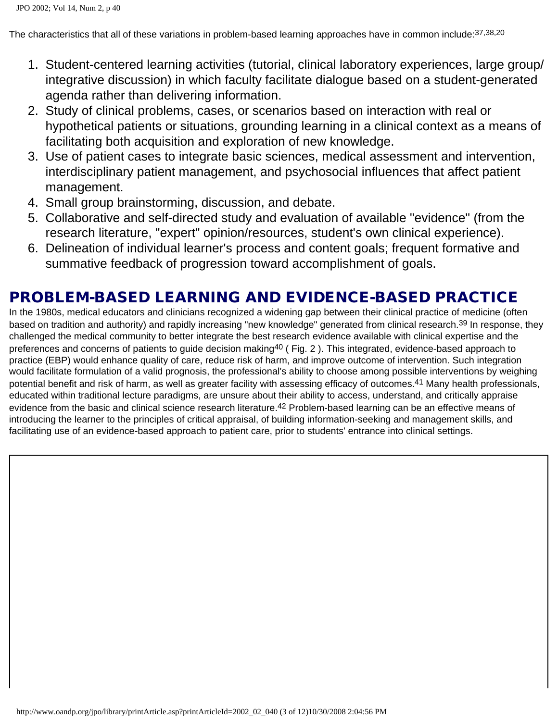The characteristics that all of these variations in problem-based learning approaches have in common include: 37, 38, 20

- 1. Student-centered learning activities (tutorial, clinical laboratory experiences, large group/ integrative discussion) in which faculty facilitate dialogue based on a student-generated agenda rather than delivering information.
- 2. Study of clinical problems, cases, or scenarios based on interaction with real or hypothetical patients or situations, grounding learning in a clinical context as a means of facilitating both acquisition and exploration of new knowledge.
- 3. Use of patient cases to integrate basic sciences, medical assessment and intervention, interdisciplinary patient management, and psychosocial influences that affect patient management.
- 4. Small group brainstorming, discussion, and debate.
- 5. Collaborative and self-directed study and evaluation of available "evidence" (from the research literature, "expert" opinion/resources, student's own clinical experience).
- 6. Delineation of individual learner's process and content goals; frequent formative and summative feedback of progression toward accomplishment of goals.

#### PROBLEM-BASED LEARNING AND EVIDENCE-BASED PRACTICE

In the 1980s, medical educators and clinicians recognized a widening gap between their clinical practice of medicine (often based on tradition and authority) and rapidly increasing "new knowledge" generated from clinical research.<sup>39</sup> In response, they challenged the medical community to better integrate the best research evidence available with clinical expertise and the preferences and concerns of patients to quide decision making<sup>40</sup> (Fig. 2). This integrated, evidence-based approach to practice (EBP) would enhance quality of care, reduce risk of harm, and improve outcome of intervention. Such integration would facilitate formulation of a valid prognosis, the professional's ability to choose among possible interventions by weighing potential benefit and risk of harm, as well as greater facility with assessing efficacy of outcomes.<sup>41</sup> Many health professionals, educated within traditional lecture paradigms, are unsure about their ability to access, understand, and critically appraise evidence from the basic and clinical science research literature.<sup>42</sup> Problem-based learning can be an effective means of introducing the learner to the principles of critical appraisal, of building information-seeking and management skills, and facilitating use of an evidence-based approach to patient care, prior to students' entrance into clinical settings.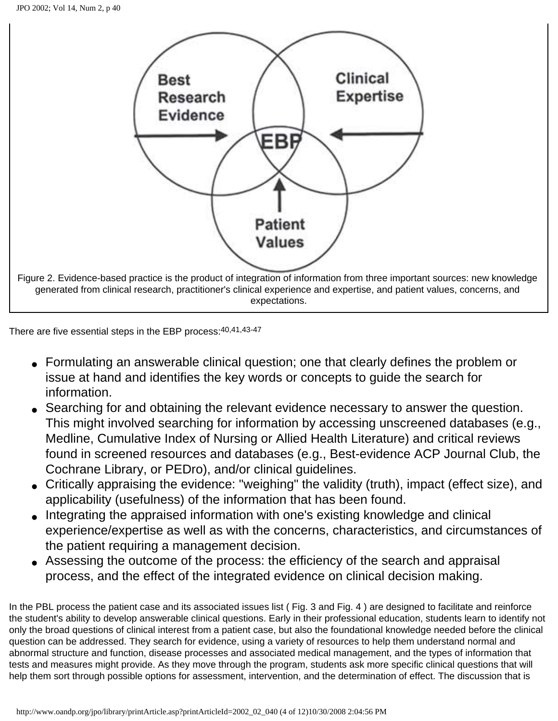

There are five essential steps in the EBP process: 40, 41, 43-47

- Formulating an answerable clinical question; one that clearly defines the problem or issue at hand and identifies the key words or concepts to guide the search for information.
- Searching for and obtaining the relevant evidence necessary to answer the question. This might involved searching for information by accessing unscreened databases (e.g., Medline, Cumulative Index of Nursing or Allied Health Literature) and critical reviews found in screened resources and databases (e.g., Best-evidence ACP Journal Club, the Cochrane Library, or PEDro), and/or clinical guidelines.
- Critically appraising the evidence: "weighing" the validity (truth), impact (effect size), and applicability (usefulness) of the information that has been found.
- Integrating the appraised information with one's existing knowledge and clinical experience/expertise as well as with the concerns, characteristics, and circumstances of the patient requiring a management decision.
- Assessing the outcome of the process: the efficiency of the search and appraisal process, and the effect of the integrated evidence on clinical decision making.

In the PBL process the patient case and its associated issues list ( Fig. 3 and Fig. 4 ) are designed to facilitate and reinforce the student's ability to develop answerable clinical questions. Early in their professional education, students learn to identify not only the broad questions of clinical interest from a patient case, but also the foundational knowledge needed before the clinical question can be addressed. They search for evidence, using a variety of resources to help them understand normal and abnormal structure and function, disease processes and associated medical management, and the types of information that tests and measures might provide. As they move through the program, students ask more specific clinical questions that will help them sort through possible options for assessment, intervention, and the determination of effect. The discussion that is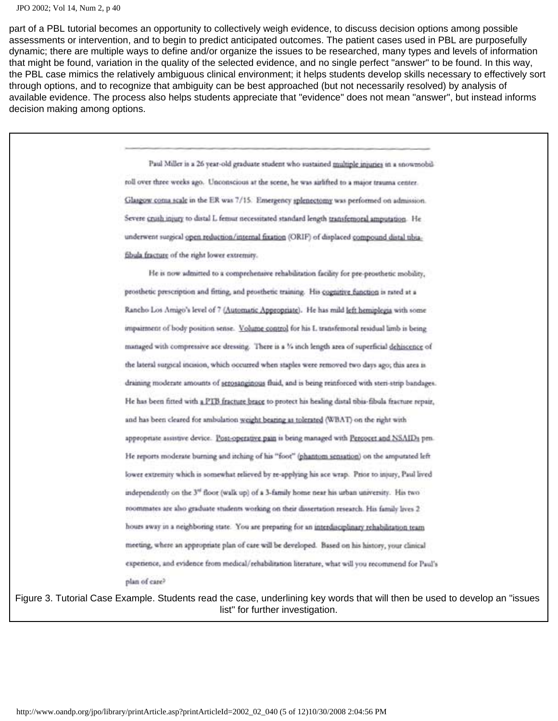JPO 2002; Vol 14, Num 2, p 40

part of a PBL tutorial becomes an opportunity to collectively weigh evidence, to discuss decision options among possible assessments or intervention, and to begin to predict anticipated outcomes. The patient cases used in PBL are purposefully dynamic; there are multiple ways to define and/or organize the issues to be researched, many types and levels of information that might be found, variation in the quality of the selected evidence, and no single perfect "answer" to be found. In this way, the PBL case mimics the relatively ambiguous clinical environment; it helps students develop skills necessary to effectively sort through options, and to recognize that ambiguity can be best approached (but not necessarily resolved) by analysis of available evidence. The process also helps students appreciate that "evidence" does not mean "answer", but instead informs decision making among options.

> Paul Miller is a 26 year-old graduate student who sustained multiple injuries in a snowmobilroll over three weeks ago. Unconscious at the scene, he was airlifted to a major trauma center. Glasgow coma scale in the ER was 7/15. Emergency splenectomy was performed on admission. Severe crush injury to distal L femur necessitated standard length transfemoral amputation. He underwent surgical open reduction/internal fixation (ORIF) of displaced compound distal tibiafibula fracture of the right lower extremity.

He is now admitted to a comprehensive rehabilitation facility for pre-prosthetic mobility, prosthetic prescription and fitting, and prosthetic training. His cognitive function is rated at a Rancho Los Amigo's level of 7 (Automatic Appropriate). He has mild left hemiplegia with some impairment of hody position sense. Volume control for his I. transfemoral residual limb is being managed with compressive ace dressing. There is a % inch length area of superficial dehiscence of the lateral surgical incision, which occurred when staples were removed two days ago; this area is draining moderate amounts of serosanginous fluid, and is being reinforced with steri-strip bandages. He has been fitted with a PTB fracture brace to protect his healing distal tibia-fibula fracture repair, and has been cleared for ambulation weight bearing as tolerated (WBAT) on the right with appropriate assistive device. Post-operative pain is being managed with Percocet and NSAIDs prn. He reports moderate burning and itching of his "foot" (phantom sensation) on the amputated left lower extremity which is somewhat relieved by re-applying his ace wrap. Prior to injury, Paul lived independently on the 3<sup>14</sup> floor (walk up) of a 3-family home near his urban university. His two roommates are also graduate students working on their dissertation research. His family lives 2 hours away in a neighboring state. You are preparing for an interdisciplinary rehabilitation team meeting, where an appropriate plan of care will be developed. Based on his history, your clinical experience, and evidence from medical/rehabilitation literature, what will you recommend for Paul's plan of care?

Figure 3. Tutorial Case Example. Students read the case, underlining key words that will then be used to develop an "issues list" for further investigation.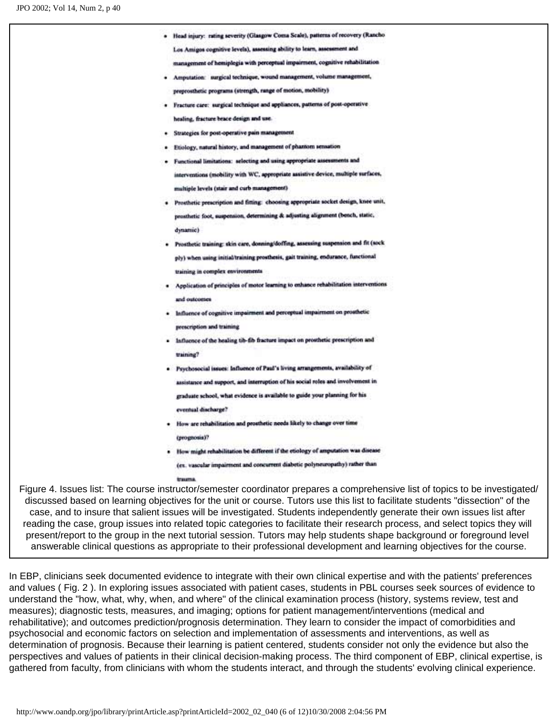| Head injury: rating severity (Glasgow Coma Scale), patieriis of recovery (Kancho      |
|---------------------------------------------------------------------------------------|
| Los Amigos cognitive levels), assessing ability to learn, assessment and              |
| management of hemiplegia with perceptual impairment, cognitive rehabilitation         |
| · Amputation: surgical technique, wound management, volume management,                |
| preprosthetic programs (strength, range of motion, mobility)                          |
| · Fracture care: surgical technique and appliances, patterns of post-operative.       |
| healing, fracture beace design and use.                                               |
| · Strategies for post-operative pain management                                       |
| · Etiology, natural history, and management of phantom sensation                      |
| · Functional limitations: selecting and using appropriate assessments and             |
| interventions (mobility with WC, appropriate assistive device, multiple surfaces,     |
| multiple levels (stair and curb management)                                           |
| · Prosthetic preacription and fitting: choosing appropriate socket design, knee unit, |
| prosthetic foot, suspension, determining & adjusting alignment (bench, static,        |
| dynamic)                                                                              |
| · Prosthetic training: skin care, donning/doffing, assessing suspension and fit (sock |
| ply) when using initial/training prosthesis, gait training, endurance, functional     |
| training in complex environments                                                      |
| · Application of principles of motor learning to enhance rehabilitation interventions |
| and outcomes                                                                          |
| · Influence of cognitive impairment and perceptual impairment on prouthetic           |
| prescription and training                                                             |
| · Influence of the healing tib-fib fracture impact on prosthetic prescription and     |
| training?                                                                             |
| · Psychosocial issues: Influence of Paul's living arrangements, availability of       |
| assistance and support, and interruption of his social roles and involvement in       |
| graduate school, what evidence is available to guide your planning for his            |
| eventual discharge?                                                                   |
| How are rehabilitation and prouthetic needs likely to change over time                |
| (prognosis)?                                                                          |
| . How might rehabilitation be different if the etiology of amputation was disease     |
| (ex. vascular impairment and concurrent diabetic polyneuropathy) rather than          |
| trauma.                                                                               |

Figure 4. Issues list: The course instructor/semester coordinator prepares a comprehensive list of topics to be investigated/ discussed based on learning objectives for the unit or course. Tutors use this list to facilitate students "dissection" of the case, and to insure that salient issues will be investigated. Students independently generate their own issues list after reading the case, group issues into related topic categories to facilitate their research process, and select topics they will present/report to the group in the next tutorial session. Tutors may help students shape background or foreground level answerable clinical questions as appropriate to their professional development and learning objectives for the course.

In EBP, clinicians seek documented evidence to integrate with their own clinical expertise and with the patients' preferences and values ( Fig. 2 ). In exploring issues associated with patient cases, students in PBL courses seek sources of evidence to understand the "how, what, why, when, and where" of the clinical examination process (history, systems review, test and measures); diagnostic tests, measures, and imaging; options for patient management/interventions (medical and rehabilitative); and outcomes prediction/prognosis determination. They learn to consider the impact of comorbidities and psychosocial and economic factors on selection and implementation of assessments and interventions, as well as determination of prognosis. Because their learning is patient centered, students consider not only the evidence but also the perspectives and values of patients in their clinical decision-making process. The third component of EBP, clinical expertise, is gathered from faculty, from clinicians with whom the students interact, and through the students' evolving clinical experience.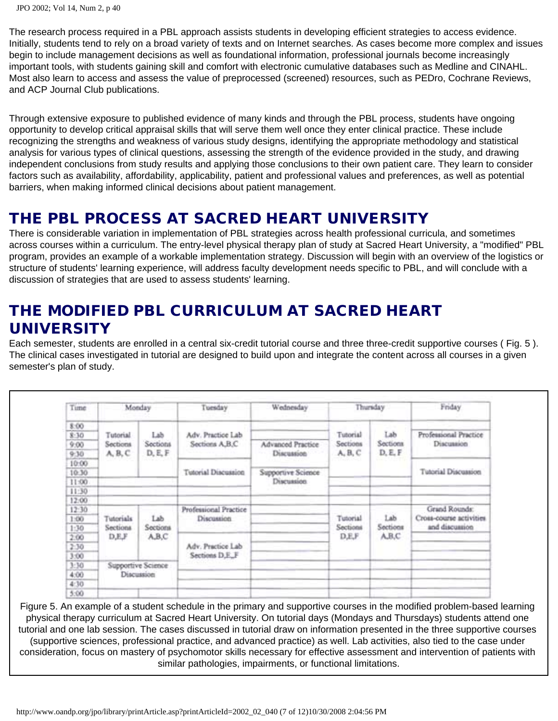The research process required in a PBL approach assists students in developing efficient strategies to access evidence. Initially, students tend to rely on a broad variety of texts and on Internet searches. As cases become more complex and issues begin to include management decisions as well as foundational information, professional journals become increasingly important tools, with students gaining skill and comfort with electronic cumulative databases such as Medline and CINAHL. Most also learn to access and assess the value of preprocessed (screened) resources, such as PEDro, Cochrane Reviews, and ACP Journal Club publications.

Through extensive exposure to published evidence of many kinds and through the PBL process, students have ongoing opportunity to develop critical appraisal skills that will serve them well once they enter clinical practice. These include recognizing the strengths and weakness of various study designs, identifying the appropriate methodology and statistical analysis for various types of clinical questions, assessing the strength of the evidence provided in the study, and drawing independent conclusions from study results and applying those conclusions to their own patient care. They learn to consider factors such as availability, affordability, applicability, patient and professional values and preferences, as well as potential barriers, when making informed clinical decisions about patient management.

#### THE PBL PROCESS AT SACRED HEART UNIVERSITY

There is considerable variation in implementation of PBL strategies across health professional curricula, and sometimes across courses within a curriculum. The entry-level physical therapy plan of study at Sacred Heart University, a "modified" PBL program, provides an example of a workable implementation strategy. Discussion will begin with an overview of the logistics or structure of students' learning experience, will address faculty development needs specific to PBL, and will conclude with a discussion of strategies that are used to assess students' learning.

## THE MODIFIED PBL CURRICULUM AT SACRED HEART UNIVERSITY

Each semester, students are enrolled in a central six-credit tutorial course and three three-credit supportive courses ( Fig. 5 ). The clinical cases investigated in tutorial are designed to build upon and integrate the content across all courses in a given semester's plan of study.

| Time  |                                  | Monday                     | Tuesday                              | Wednesday          |                                 | Thursday                   | Friday                              |
|-------|----------------------------------|----------------------------|--------------------------------------|--------------------|---------------------------------|----------------------------|-------------------------------------|
| 8:00  |                                  |                            |                                      |                    |                                 |                            |                                     |
| 8:30  | Tutorial                         | Lab<br>Sections<br>D, E, F | Adv. Practice Lab<br>Sections A.B.C. |                    | Tutorial<br>Sections<br>A, B, C | Lab<br>Sections<br>D, E, F | Professional Practice<br>Discussion |
| 9:00  | Sections                         |                            |                                      | Advanced Practice  |                                 |                            |                                     |
| 9:30  | A, B, C                          |                            |                                      | Discussion         |                                 |                            |                                     |
| 10:00 |                                  |                            |                                      |                    |                                 |                            |                                     |
| 10:30 |                                  |                            | <b>Tutorial Discussion</b>           | Supportive Science |                                 |                            | Tutorial Discussion                 |
| 11:00 |                                  |                            |                                      | Discussion.        |                                 |                            |                                     |
| 11:30 |                                  |                            |                                      |                    |                                 |                            |                                     |
| 12:00 |                                  |                            |                                      |                    |                                 |                            |                                     |
| 12:30 |                                  |                            | Professional Practice<br>Discussion. |                    | Tutorial<br>Sections            | Lab<br>Sections            | Grand Rounds:                       |
| 1:00  | Tutorials                        | Lab                        |                                      |                    |                                 |                            | Cross-course activities             |
| 1:30  | Sections                         | Sections                   |                                      |                    |                                 |                            | and discussion                      |
| 2.00  | A,B,C<br>D.E.F                   |                            |                                      |                    | D.E.F                           | A.B.C                      |                                     |
| 2:30  |                                  |                            | Adv. Practice Lab                    |                    |                                 |                            |                                     |
| 3:00  |                                  |                            | Sections D.E.F                       |                    |                                 |                            |                                     |
| 3:30  | Supportive Science<br>Discussion |                            |                                      |                    |                                 |                            |                                     |
| 4:00  |                                  |                            |                                      |                    |                                 |                            |                                     |
| 4:30  |                                  |                            |                                      |                    |                                 |                            |                                     |
| 5:00  |                                  |                            |                                      |                    |                                 |                            |                                     |

Figure 5. An example of a student schedule in the primary and supportive courses in the modified problem-based learning physical therapy curriculum at Sacred Heart University. On tutorial days (Mondays and Thursdays) students attend one tutorial and one lab session. The cases discussed in tutorial draw on information presented in the three supportive courses (supportive sciences, professional practice, and advanced practice) as well. Lab activities, also tied to the case under consideration, focus on mastery of psychomotor skills necessary for effective assessment and intervention of patients with similar pathologies, impairments, or functional limitations.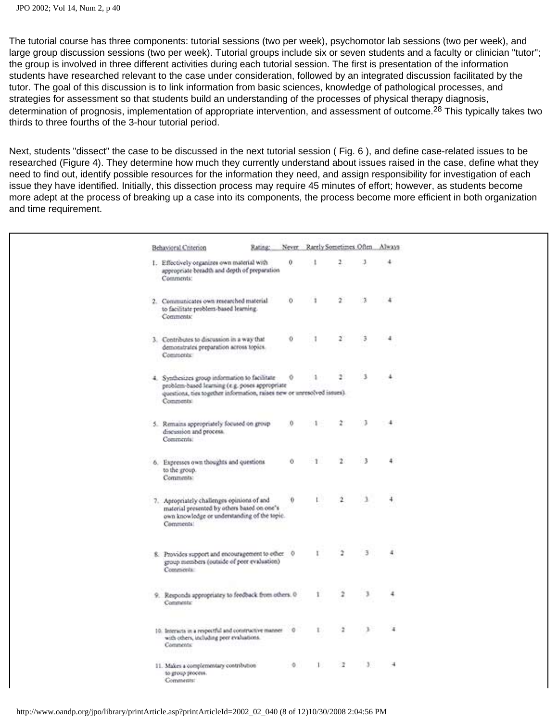The tutorial course has three components: tutorial sessions (two per week), psychomotor lab sessions (two per week), and large group discussion sessions (two per week). Tutorial groups include six or seven students and a faculty or clinician "tutor"; the group is involved in three different activities during each tutorial session. The first is presentation of the information students have researched relevant to the case under consideration, followed by an integrated discussion facilitated by the tutor. The goal of this discussion is to link information from basic sciences, knowledge of pathological processes, and strategies for assessment so that students build an understanding of the processes of physical therapy diagnosis, determination of prognosis, implementation of appropriate intervention, and assessment of outcome.<sup>28</sup> This typically takes two thirds to three fourths of the 3-hour tutorial period.

Next, students "dissect" the case to be discussed in the next tutorial session ( Fig. 6 ), and define case-related issues to be researched (Figure 4). They determine how much they currently understand about issues raised in the case, define what they need to find out, identify possible resources for the information they need, and assign responsibility for investigation of each issue they have identified. Initially, this dissection process may require 45 minutes of effort; however, as students become more adept at the process of breaking up a case into its components, the process become more efficient in both organization and time requirement.

| Behavioral Criterion                                                                                                                                                                     | Rating: | Never  | Rarely Sometimes Often Always |                |       |   |
|------------------------------------------------------------------------------------------------------------------------------------------------------------------------------------------|---------|--------|-------------------------------|----------------|-------|---|
| 1. Effectively organizes own material with<br>appropriate breadth and depth of preparation<br>Comments:                                                                                  |         | 0      | 1                             | $\mathbf{2}$   | з     | 4 |
| 2. Communicates own researched material<br>to facilitate problem-based learning.<br>Comments:                                                                                            |         | ō      | 1                             | $\mathfrak{D}$ | 3     | × |
| 3. Contributes to discussion in a way that<br>demonstrates preparation across topics.<br>Commette                                                                                        |         | ö      | 1                             | 2              | з     | 4 |
| 4. Synthesizes group information to facilitate<br>problem-based learning (e.g. poses appropriate<br>questions, ties together information, raises new or unresolved issues).<br>Comments: |         | Ö      |                               |                | 3     | 4 |
| 5. Remains appropriately focused on group<br>discussion and process.<br>Comments:                                                                                                        |         | o      | - 1                           | 2              | -31   | 4 |
| 6. Expresses own thoughts and questions<br>to the group.<br>Comments:                                                                                                                    |         | Ö.     | -1                            | z              | 13    | 4 |
| 7. Apropriately challenges opinions of and<br>material presented by others based on one's<br>own knowledge or understanding of the topic.<br>Comments!                                   |         | $^{o}$ | L.                            | $\ddot{ }$     | 3.    | 4 |
| 8. Provides support and encouragement to other 0<br>group members (outside of peer evaluation)<br>Commenta                                                                               |         |        |                               | 2              | 3     |   |
| 9. Responds appropriatey to feedback from others. 0<br>Commette                                                                                                                          |         |        | x                             | 2              | 3     | 4 |
| 10. Interacts in a respectful and constructive manner.<br>with others, including peer evaluations.<br>Comments:                                                                          |         | - 0    | x                             | ž              | х     | 4 |
| 11. Makes a complementary contribution<br>to group process.<br>Comments:                                                                                                                 |         | O.     | 1                             | ्र             | $3 -$ | 4 |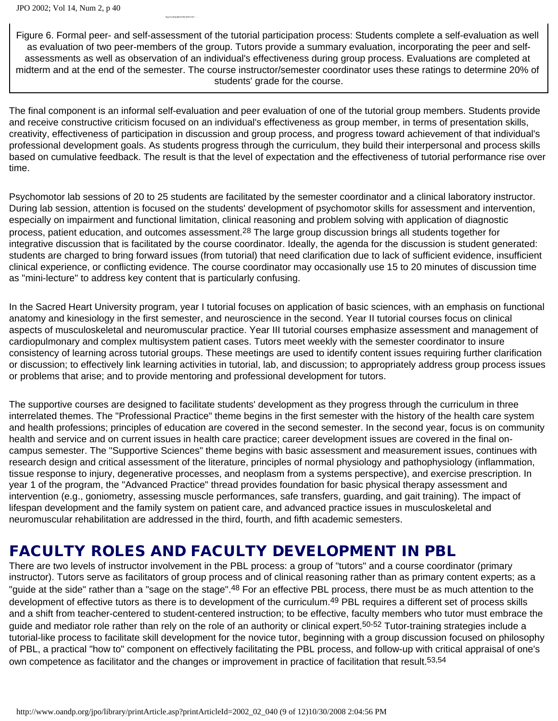Figure 6. Formal peer- and self-assessment of the tutorial participation process: Students complete a self-evaluation as well as evaluation of two peer-members of the group. Tutors provide a summary evaluation, incorporating the peer and selfassessments as well as observation of an individual's effectiveness during group process. Evaluations are completed at midterm and at the end of the semester. The course instructor/semester coordinator uses these ratings to determine 20% of students' grade for the course.

The final component is an informal self-evaluation and peer evaluation of one of the tutorial group members. Students provide and receive constructive criticism focused on an individual's effectiveness as group member, in terms of presentation skills, creativity, effectiveness of participation in discussion and group process, and progress toward achievement of that individual's professional development goals. As students progress through the curriculum, they build their interpersonal and process skills based on cumulative feedback. The result is that the level of expectation and the effectiveness of tutorial performance rise over time.

Psychomotor lab sessions of 20 to 25 students are facilitated by the semester coordinator and a clinical laboratory instructor. During lab session, attention is focused on the students' development of psychomotor skills for assessment and intervention, especially on impairment and functional limitation, clinical reasoning and problem solving with application of diagnostic process, patient education, and outcomes assessment.28 The large group discussion brings all students together for integrative discussion that is facilitated by the course coordinator. Ideally, the agenda for the discussion is student generated: students are charged to bring forward issues (from tutorial) that need clarification due to lack of sufficient evidence, insufficient clinical experience, or conflicting evidence. The course coordinator may occasionally use 15 to 20 minutes of discussion time as "mini-lecture" to address key content that is particularly confusing.

In the Sacred Heart University program, year I tutorial focuses on application of basic sciences, with an emphasis on functional anatomy and kinesiology in the first semester, and neuroscience in the second. Year II tutorial courses focus on clinical aspects of musculoskeletal and neuromuscular practice. Year III tutorial courses emphasize assessment and management of cardiopulmonary and complex multisystem patient cases. Tutors meet weekly with the semester coordinator to insure consistency of learning across tutorial groups. These meetings are used to identify content issues requiring further clarification or discussion; to effectively link learning activities in tutorial, lab, and discussion; to appropriately address group process issues or problems that arise; and to provide mentoring and professional development for tutors.

The supportive courses are designed to facilitate students' development as they progress through the curriculum in three interrelated themes. The "Professional Practice" theme begins in the first semester with the history of the health care system and health professions; principles of education are covered in the second semester. In the second year, focus is on community health and service and on current issues in health care practice; career development issues are covered in the final oncampus semester. The "Supportive Sciences" theme begins with basic assessment and measurement issues, continues with research design and critical assessment of the literature, principles of normal physiology and pathophysiology (inflammation, tissue response to injury, degenerative processes, and neoplasm from a systems perspective), and exercise prescription. In year 1 of the program, the "Advanced Practice" thread provides foundation for basic physical therapy assessment and intervention (e.g., goniometry, assessing muscle performances, safe transfers, guarding, and gait training). The impact of lifespan development and the family system on patient care, and advanced practice issues in musculoskeletal and neuromuscular rehabilitation are addressed in the third, fourth, and fifth academic semesters.

## FACULTY ROLES AND FACULTY DEVELOPMENT IN PBL

There are two levels of instructor involvement in the PBL process: a group of "tutors" and a course coordinator (primary instructor). Tutors serve as facilitators of group process and of clinical reasoning rather than as primary content experts; as a "guide at the side" rather than a "sage on the stage".<sup>48</sup> For an effective PBL process, there must be as much attention to the development of effective tutors as there is to development of the curriculum.<sup>49</sup> PBL requires a different set of process skills and a shift from teacher-centered to student-centered instruction; to be effective, faculty members who tutor must embrace the guide and mediator role rather than rely on the role of an authority or clinical expert.<sup>50-52</sup> Tutor-training strategies include a tutorial-like process to facilitate skill development for the novice tutor, beginning with a group discussion focused on philosophy of PBL, a practical "how to" component on effectively facilitating the PBL process, and follow-up with critical appraisal of one's own competence as facilitator and the changes or improvement in practice of facilitation that result.<sup>53,54</sup>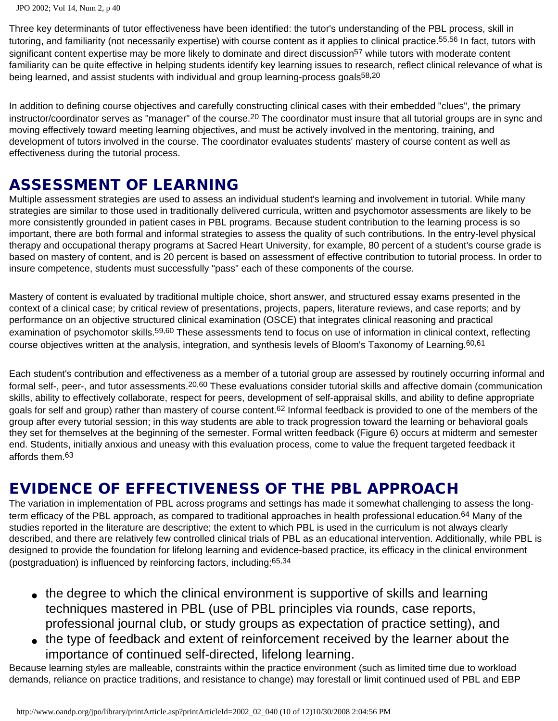Three key determinants of tutor effectiveness have been identified: the tutor's understanding of the PBL process, skill in tutoring, and familiarity (not necessarily expertise) with course content as it applies to clinical practice.<sup>55,56</sup> In fact, tutors with significant content expertise may be more likely to dominate and direct discussion<sup>57</sup> while tutors with moderate content familiarity can be quite effective in helping students identify key learning issues to research, reflect clinical relevance of what is being learned, and assist students with individual and group learning-process goals<sup>58,20</sup>

In addition to defining course objectives and carefully constructing clinical cases with their embedded "clues", the primary instructor/coordinator serves as "manager" of the course.<sup>20</sup> The coordinator must insure that all tutorial groups are in sync and moving effectively toward meeting learning objectives, and must be actively involved in the mentoring, training, and development of tutors involved in the course. The coordinator evaluates students' mastery of course content as well as effectiveness during the tutorial process.

# ASSESSMENT OF LEARNING

Multiple assessment strategies are used to assess an individual student's learning and involvement in tutorial. While many strategies are similar to those used in traditionally delivered curricula, written and psychomotor assessments are likely to be more consistently grounded in patient cases in PBL programs. Because student contribution to the learning process is so important, there are both formal and informal strategies to assess the quality of such contributions. In the entry-level physical therapy and occupational therapy programs at Sacred Heart University, for example, 80 percent of a student's course grade is based on mastery of content, and is 20 percent is based on assessment of effective contribution to tutorial process. In order to insure competence, students must successfully "pass" each of these components of the course.

Mastery of content is evaluated by traditional multiple choice, short answer, and structured essay exams presented in the context of a clinical case; by critical review of presentations, projects, papers, literature reviews, and case reports; and by performance on an objective structured clinical examination (OSCE) that integrates clinical reasoning and practical examination of psychomotor skills.<sup>59,60</sup> These assessments tend to focus on use of information in clinical context, reflecting course objectives written at the analysis, integration, and synthesis levels of Bloom's Taxonomy of Learning.60,61

Each student's contribution and effectiveness as a member of a tutorial group are assessed by routinely occurring informal and formal self-, peer-, and tutor assessments.<sup>20,60</sup> These evaluations consider tutorial skills and affective domain (communication skills, ability to effectively collaborate, respect for peers, development of self-appraisal skills, and ability to define appropriate goals for self and group) rather than mastery of course content.<sup>62</sup> Informal feedback is provided to one of the members of the group after every tutorial session; in this way students are able to track progression toward the learning or behavioral goals they set for themselves at the beginning of the semester. Formal written feedback (Figure 6) occurs at midterm and semester end. Students, initially anxious and uneasy with this evaluation process, come to value the frequent targeted feedback it affords them.63

## EVIDENCE OF EFFECTIVENESS OF THE PBL APPROACH

The variation in implementation of PBL across programs and settings has made it somewhat challenging to assess the longterm efficacy of the PBL approach, as compared to traditional approaches in health professional education.<sup>64</sup> Many of the studies reported in the literature are descriptive; the extent to which PBL is used in the curriculum is not always clearly described, and there are relatively few controlled clinical trials of PBL as an educational intervention. Additionally, while PBL is designed to provide the foundation for lifelong learning and evidence-based practice, its efficacy in the clinical environment (postgraduation) is influenced by reinforcing factors, including:65,34

- the degree to which the clinical environment is supportive of skills and learning techniques mastered in PBL (use of PBL principles via rounds, case reports, professional journal club, or study groups as expectation of practice setting), and
- the type of feedback and extent of reinforcement received by the learner about the importance of continued self-directed, lifelong learning.

Because learning styles are malleable, constraints within the practice environment (such as limited time due to workload demands, reliance on practice traditions, and resistance to change) may forestall or limit continued used of PBL and EBP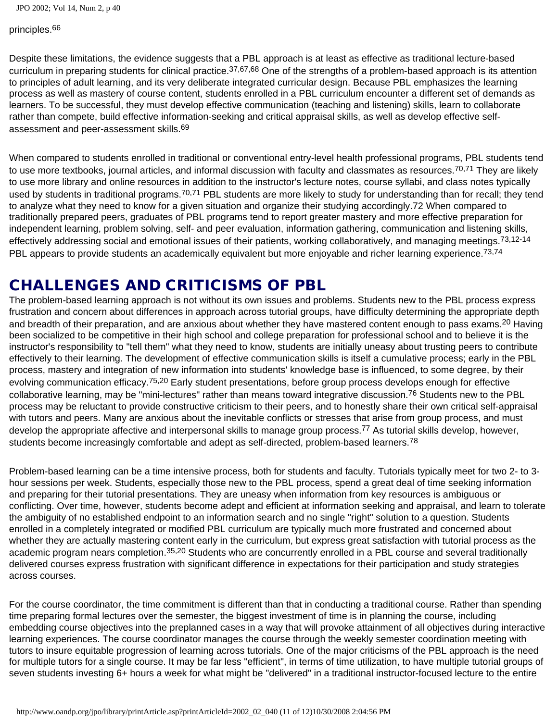JPO 2002; Vol 14, Num 2, p 40

#### principles.66

Despite these limitations, the evidence suggests that a PBL approach is at least as effective as traditional lecture-based curriculum in preparing students for clinical practice.<sup>37,67,68</sup> One of the strengths of a problem-based approach is its attention to principles of adult learning, and its very deliberate integrated curricular design. Because PBL emphasizes the learning process as well as mastery of course content, students enrolled in a PBL curriculum encounter a different set of demands as learners. To be successful, they must develop effective communication (teaching and listening) skills, learn to collaborate rather than compete, build effective information-seeking and critical appraisal skills, as well as develop effective selfassessment and peer-assessment skills.69

When compared to students enrolled in traditional or conventional entry-level health professional programs, PBL students tend to use more textbooks, journal articles, and informal discussion with faculty and classmates as resources.<sup>70,71</sup> They are likely to use more library and online resources in addition to the instructor's lecture notes, course syllabi, and class notes typically used by students in traditional programs.<sup>70,71</sup> PBL students are more likely to study for understanding than for recall; they tend to analyze what they need to know for a given situation and organize their studying accordingly.72 When compared to traditionally prepared peers, graduates of PBL programs tend to report greater mastery and more effective preparation for independent learning, problem solving, self- and peer evaluation, information gathering, communication and listening skills, effectively addressing social and emotional issues of their patients, working collaboratively, and managing meetings.<sup>73,12-14</sup> PBL appears to provide students an academically equivalent but more enjoyable and richer learning experience.<sup>73,74</sup>

#### CHALLENGES AND CRITICISMS OF PBL

The problem-based learning approach is not without its own issues and problems. Students new to the PBL process express frustration and concern about differences in approach across tutorial groups, have difficulty determining the appropriate depth and breadth of their preparation, and are anxious about whether they have mastered content enough to pass exams.<sup>20</sup> Having been socialized to be competitive in their high school and college preparation for professional school and to believe it is the instructor's responsibility to "tell them" what they need to know, students are initially uneasy about trusting peers to contribute effectively to their learning. The development of effective communication skills is itself a cumulative process; early in the PBL process, mastery and integration of new information into students' knowledge base is influenced, to some degree, by their evolving communication efficacy.<sup>75,20</sup> Early student presentations, before group process develops enough for effective collaborative learning, may be "mini-lectures" rather than means toward integrative discussion.76 Students new to the PBL process may be reluctant to provide constructive criticism to their peers, and to honestly share their own critical self-appraisal with tutors and peers. Many are anxious about the inevitable conflicts or stresses that arise from group process, and must develop the appropriate affective and interpersonal skills to manage group process.<sup>77</sup> As tutorial skills develop, however, students become increasingly comfortable and adept as self-directed, problem-based learners.<sup>78</sup>

Problem-based learning can be a time intensive process, both for students and faculty. Tutorials typically meet for two 2- to 3 hour sessions per week. Students, especially those new to the PBL process, spend a great deal of time seeking information and preparing for their tutorial presentations. They are uneasy when information from key resources is ambiguous or conflicting. Over time, however, students become adept and efficient at information seeking and appraisal, and learn to tolerate the ambiguity of no established endpoint to an information search and no single "right" solution to a question. Students enrolled in a completely integrated or modified PBL curriculum are typically much more frustrated and concerned about whether they are actually mastering content early in the curriculum, but express great satisfaction with tutorial process as the academic program nears completion.35,20 Students who are concurrently enrolled in a PBL course and several traditionally delivered courses express frustration with significant difference in expectations for their participation and study strategies across courses.

For the course coordinator, the time commitment is different than that in conducting a traditional course. Rather than spending time preparing formal lectures over the semester, the biggest investment of time is in planning the course, including embedding course objectives into the preplanned cases in a way that will provoke attainment of all objectives during interactive learning experiences. The course coordinator manages the course through the weekly semester coordination meeting with tutors to insure equitable progression of learning across tutorials. One of the major criticisms of the PBL approach is the need for multiple tutors for a single course. It may be far less "efficient", in terms of time utilization, to have multiple tutorial groups of seven students investing 6+ hours a week for what might be "delivered" in a traditional instructor-focused lecture to the entire